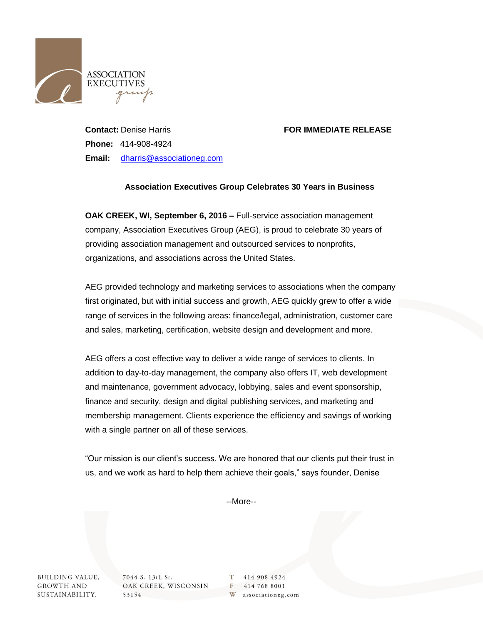

## **Contact:** Denise Harris **FOR IMMEDIATE RELEASE**

**Phone:** 414-908-4924 **Email:** [dharris@associationeg.com](mailto:dharris@associationeg.com)

## **Association Executives Group Celebrates 30 Years in Business**

**OAK CREEK, WI, September 6, 2016 –** Full-service association management company, Association Executives Group (AEG), is proud to celebrate 30 years of providing association management and outsourced services to nonprofits, organizations, and associations across the United States.

AEG provided technology and marketing services to associations when the company first originated, but with initial success and growth, AEG quickly grew to offer a wide range of services in the following areas: finance/legal, administration, customer care and sales, marketing, certification, website design and development and more.

AEG offers a cost effective way to deliver a wide range of services to clients. In addition to day-to-day management, the company also offers IT, web development and maintenance, government advocacy, lobbying, sales and event sponsorship, finance and security, design and digital publishing services, and marketing and membership management. Clients experience the efficiency and savings of working with a single partner on all of these services.

"Our mission is our client's success. We are honored that our clients put their trust in us, and we work as hard to help them achieve their goals," says founder, Denise

--More--

**BUILDING VALUE, GROWTH AND** SUSTAINABILITY. 7044 S. 13th St. OAK CREEK, WISCONSIN 53154

T 414 908 4924 F 414 768 8001 W associationeg.com